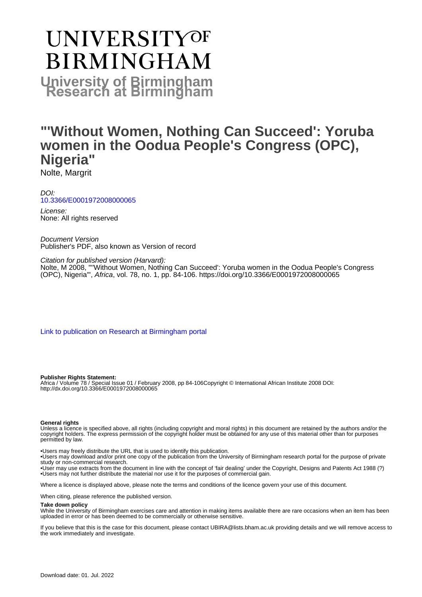# UNIVERSITYOF **BIRMINGHAM University of Birmingham**

# **"'Without Women, Nothing Can Succeed': Yoruba women in the Oodua People's Congress (OPC), Nigeria"**

Nolte, Margrit

DOI: [10.3366/E0001972008000065](https://doi.org/10.3366/E0001972008000065)

License: None: All rights reserved

Document Version Publisher's PDF, also known as Version of record

Citation for published version (Harvard): Nolte, M 2008, '"'Without Women, Nothing Can Succeed': Yoruba women in the Oodua People's Congress (OPC), Nigeria"', Africa, vol. 78, no. 1, pp. 84-106. <https://doi.org/10.3366/E0001972008000065>

[Link to publication on Research at Birmingham portal](https://birmingham.elsevierpure.com/en/publications/f2858dbd-59e2-4227-871f-4fa423527bba)

#### **Publisher Rights Statement:**

Africa / Volume 78 / Special Issue 01 / February 2008, pp 84-106Copyright © International African Institute 2008 DOI: http://dx.doi.org/10.3366/E0001972008000065

#### **General rights**

Unless a licence is specified above, all rights (including copyright and moral rights) in this document are retained by the authors and/or the copyright holders. The express permission of the copyright holder must be obtained for any use of this material other than for purposes permitted by law.

• Users may freely distribute the URL that is used to identify this publication.

• Users may download and/or print one copy of the publication from the University of Birmingham research portal for the purpose of private study or non-commercial research.

• User may use extracts from the document in line with the concept of 'fair dealing' under the Copyright, Designs and Patents Act 1988 (?) • Users may not further distribute the material nor use it for the purposes of commercial gain.

Where a licence is displayed above, please note the terms and conditions of the licence govern your use of this document.

When citing, please reference the published version.

#### **Take down policy**

While the University of Birmingham exercises care and attention in making items available there are rare occasions when an item has been uploaded in error or has been deemed to be commercially or otherwise sensitive.

If you believe that this is the case for this document, please contact UBIRA@lists.bham.ac.uk providing details and we will remove access to the work immediately and investigate.